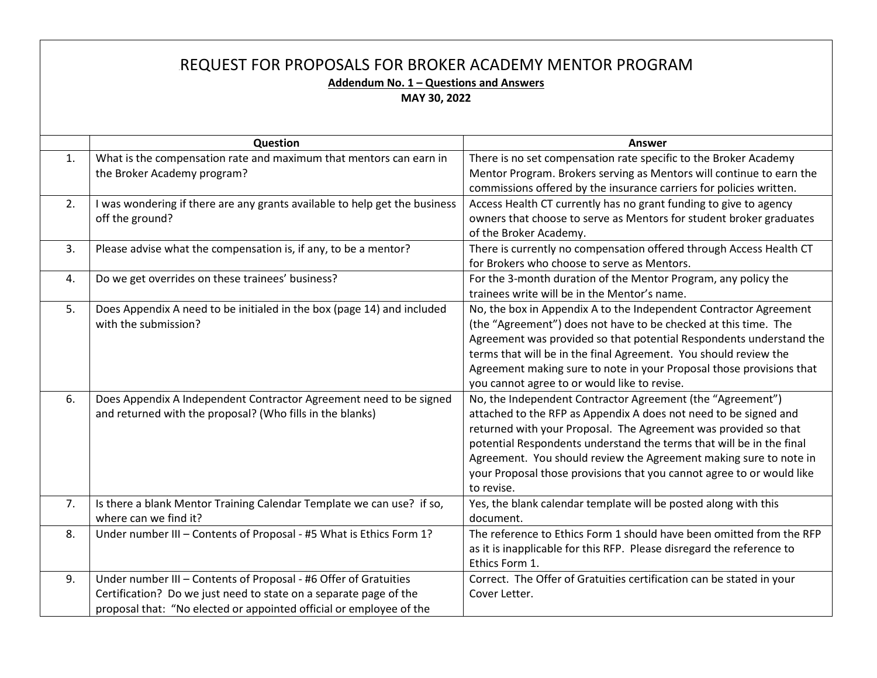| REQUEST FOR PROPOSALS FOR BROKER ACADEMY MENTOR PROGRAM<br>Addendum No. 1 - Questions and Answers<br>MAY 30, 2022 |                                                                                                                                                                                                              |                                                                                                                                                                                                                                                                                                                                                                                                                                       |  |
|-------------------------------------------------------------------------------------------------------------------|--------------------------------------------------------------------------------------------------------------------------------------------------------------------------------------------------------------|---------------------------------------------------------------------------------------------------------------------------------------------------------------------------------------------------------------------------------------------------------------------------------------------------------------------------------------------------------------------------------------------------------------------------------------|--|
|                                                                                                                   | Question                                                                                                                                                                                                     | <b>Answer</b>                                                                                                                                                                                                                                                                                                                                                                                                                         |  |
| 1.                                                                                                                | What is the compensation rate and maximum that mentors can earn in<br>the Broker Academy program?                                                                                                            | There is no set compensation rate specific to the Broker Academy<br>Mentor Program. Brokers serving as Mentors will continue to earn the<br>commissions offered by the insurance carriers for policies written.                                                                                                                                                                                                                       |  |
| 2.                                                                                                                | I was wondering if there are any grants available to help get the business<br>off the ground?                                                                                                                | Access Health CT currently has no grant funding to give to agency<br>owners that choose to serve as Mentors for student broker graduates<br>of the Broker Academy.                                                                                                                                                                                                                                                                    |  |
| 3.                                                                                                                | Please advise what the compensation is, if any, to be a mentor?                                                                                                                                              | There is currently no compensation offered through Access Health CT<br>for Brokers who choose to serve as Mentors.                                                                                                                                                                                                                                                                                                                    |  |
| 4.                                                                                                                | Do we get overrides on these trainees' business?                                                                                                                                                             | For the 3-month duration of the Mentor Program, any policy the<br>trainees write will be in the Mentor's name.                                                                                                                                                                                                                                                                                                                        |  |
| 5.                                                                                                                | Does Appendix A need to be initialed in the box (page 14) and included<br>with the submission?                                                                                                               | No, the box in Appendix A to the Independent Contractor Agreement<br>(the "Agreement") does not have to be checked at this time. The<br>Agreement was provided so that potential Respondents understand the<br>terms that will be in the final Agreement. You should review the<br>Agreement making sure to note in your Proposal those provisions that<br>you cannot agree to or would like to revise.                               |  |
| 6.                                                                                                                | Does Appendix A Independent Contractor Agreement need to be signed<br>and returned with the proposal? (Who fills in the blanks)                                                                              | No, the Independent Contractor Agreement (the "Agreement")<br>attached to the RFP as Appendix A does not need to be signed and<br>returned with your Proposal. The Agreement was provided so that<br>potential Respondents understand the terms that will be in the final<br>Agreement. You should review the Agreement making sure to note in<br>your Proposal those provisions that you cannot agree to or would like<br>to revise. |  |
| 7.                                                                                                                | Is there a blank Mentor Training Calendar Template we can use? if so,<br>where can we find it?                                                                                                               | Yes, the blank calendar template will be posted along with this<br>document.                                                                                                                                                                                                                                                                                                                                                          |  |
| 8.                                                                                                                | Under number III - Contents of Proposal - #5 What is Ethics Form 1?                                                                                                                                          | The reference to Ethics Form 1 should have been omitted from the RFP<br>as it is inapplicable for this RFP. Please disregard the reference to<br>Ethics Form 1.                                                                                                                                                                                                                                                                       |  |
| 9.                                                                                                                | Under number III - Contents of Proposal - #6 Offer of Gratuities<br>Certification? Do we just need to state on a separate page of the<br>proposal that: "No elected or appointed official or employee of the | Correct. The Offer of Gratuities certification can be stated in your<br>Cover Letter.                                                                                                                                                                                                                                                                                                                                                 |  |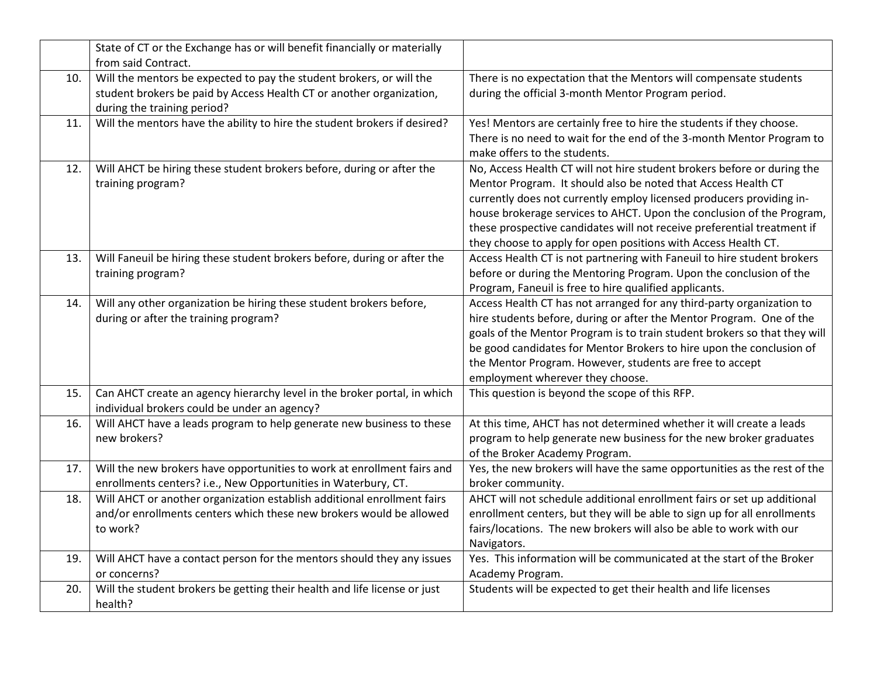|     | State of CT or the Exchange has or will benefit financially or materially                                                                                                   |                                                                                                                                                                                                                                                                                                                                                                                                                                        |
|-----|-----------------------------------------------------------------------------------------------------------------------------------------------------------------------------|----------------------------------------------------------------------------------------------------------------------------------------------------------------------------------------------------------------------------------------------------------------------------------------------------------------------------------------------------------------------------------------------------------------------------------------|
|     | from said Contract.                                                                                                                                                         |                                                                                                                                                                                                                                                                                                                                                                                                                                        |
| 10. | Will the mentors be expected to pay the student brokers, or will the<br>student brokers be paid by Access Health CT or another organization,<br>during the training period? | There is no expectation that the Mentors will compensate students<br>during the official 3-month Mentor Program period.                                                                                                                                                                                                                                                                                                                |
| 11. | Will the mentors have the ability to hire the student brokers if desired?                                                                                                   | Yes! Mentors are certainly free to hire the students if they choose.<br>There is no need to wait for the end of the 3-month Mentor Program to<br>make offers to the students.                                                                                                                                                                                                                                                          |
| 12. | Will AHCT be hiring these student brokers before, during or after the<br>training program?                                                                                  | No, Access Health CT will not hire student brokers before or during the<br>Mentor Program. It should also be noted that Access Health CT<br>currently does not currently employ licensed producers providing in-<br>house brokerage services to AHCT. Upon the conclusion of the Program,<br>these prospective candidates will not receive preferential treatment if<br>they choose to apply for open positions with Access Health CT. |
| 13. | Will Faneuil be hiring these student brokers before, during or after the<br>training program?                                                                               | Access Health CT is not partnering with Faneuil to hire student brokers<br>before or during the Mentoring Program. Upon the conclusion of the<br>Program, Faneuil is free to hire qualified applicants.                                                                                                                                                                                                                                |
| 14. | Will any other organization be hiring these student brokers before,<br>during or after the training program?                                                                | Access Health CT has not arranged for any third-party organization to<br>hire students before, during or after the Mentor Program. One of the<br>goals of the Mentor Program is to train student brokers so that they will<br>be good candidates for Mentor Brokers to hire upon the conclusion of<br>the Mentor Program. However, students are free to accept<br>employment wherever they choose.                                     |
| 15. | Can AHCT create an agency hierarchy level in the broker portal, in which<br>individual brokers could be under an agency?                                                    | This question is beyond the scope of this RFP.                                                                                                                                                                                                                                                                                                                                                                                         |
| 16. | Will AHCT have a leads program to help generate new business to these<br>new brokers?                                                                                       | At this time, AHCT has not determined whether it will create a leads<br>program to help generate new business for the new broker graduates<br>of the Broker Academy Program.                                                                                                                                                                                                                                                           |
| 17. | Will the new brokers have opportunities to work at enrollment fairs and<br>enrollments centers? i.e., New Opportunities in Waterbury, CT.                                   | Yes, the new brokers will have the same opportunities as the rest of the<br>broker community.                                                                                                                                                                                                                                                                                                                                          |
| 18. | Will AHCT or another organization establish additional enrollment fairs<br>and/or enrollments centers which these new brokers would be allowed<br>to work?                  | AHCT will not schedule additional enrollment fairs or set up additional<br>enrollment centers, but they will be able to sign up for all enrollments<br>fairs/locations. The new brokers will also be able to work with our<br>Navigators.                                                                                                                                                                                              |
| 19. | Will AHCT have a contact person for the mentors should they any issues<br>or concerns?                                                                                      | Yes. This information will be communicated at the start of the Broker<br>Academy Program.                                                                                                                                                                                                                                                                                                                                              |
| 20. | Will the student brokers be getting their health and life license or just<br>health?                                                                                        | Students will be expected to get their health and life licenses                                                                                                                                                                                                                                                                                                                                                                        |